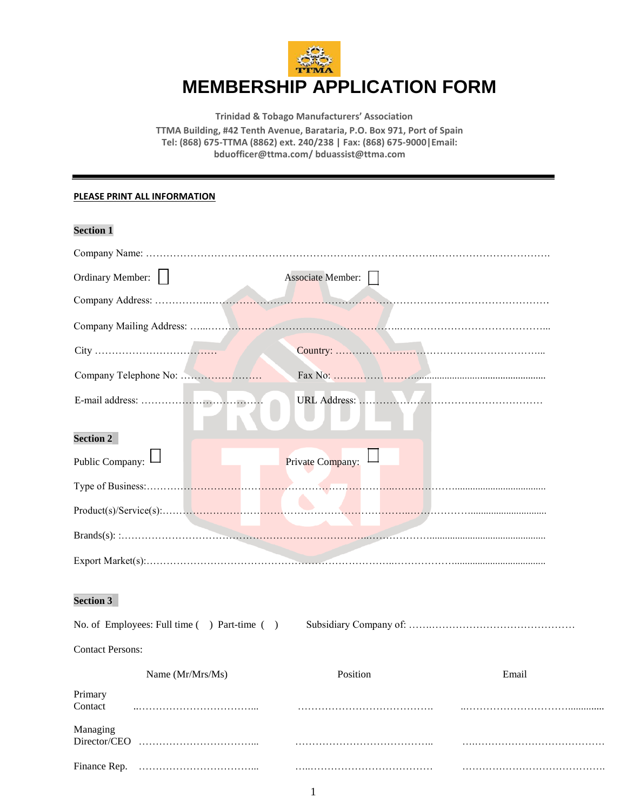

**Trinidad & Tobago Manufacturers' Association TTMA Building, #42 Tenth Avenue, Barataria, P.O. Box 971, Port of Spain Tel: (868) 675-TTMA (8862) ext. 240/238 | Fax: (868) 675-9000|Email: bduofficer@ttma.com/ bduassist@ttma.com**

## **PLEASE PRINT ALL INFORMATION**

## **Section 1**

| <b>Associate Member:</b> |
|--------------------------|
|                          |
|                          |
|                          |
|                          |
|                          |
|                          |
| Private Company:         |
|                          |
| Product(s)/Service(s):   |
|                          |
|                          |
|                          |

## **Section 3**

| No. of Employees: Full time () Part-time () |  |
|---------------------------------------------|--|
|                                             |  |

## Contact Persons:

|                          | Name $(Mr/Mrs/Ms)$ | nsition | Email |
|--------------------------|--------------------|---------|-------|
| Primary<br>Contact       |                    |         |       |
| Managing<br>Director/CEO |                    |         |       |
| Finance Rep.             |                    |         |       |